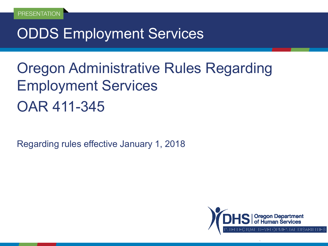# ODDS Employment Services

# Oregon Administrative Rules Regarding Employment Services OAR 411-345

Regarding rules effective January 1, 2018

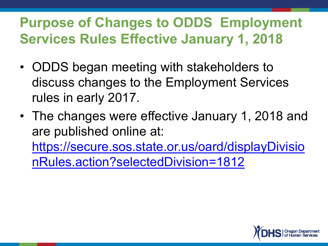# **Purpose of Changes to ODDS Employment Services Rules Effective January 1, 2018**

- ODDS began meeting with stakeholders to discuss changes to the Employment Services rules in early 2017.
- The changes were effective January 1, 2018 and are published online at: [https://secure.sos.state.or.us/oard/displayDivisio](https://secure.sos.state.or.us/oard/displayDivisionRules.action?selectedDivision=1812)

nRules.action?selectedDivision=1812

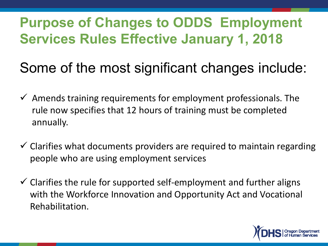# **Purpose of Changes to ODDS Employment Services Rules Effective January 1, 2018**

# Some of the most significant changes include:

- $\checkmark$  Amends training requirements for employment professionals. The rule now specifies that 12 hours of training must be completed annually.
- $\checkmark$  Clarifies what documents providers are required to maintain regarding people who are using employment services
- $\checkmark$  Clarifies the rule for supported self-employment and further aligns with the Workforce Innovation and Opportunity Act and Vocational Rehabilitation.

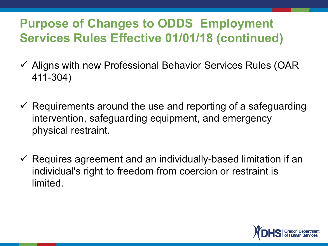#### **Purpose of Changes to ODDS Employment Services Rules Effective 01/01/18 (continued)**

- ✓ Aligns with new Professional Behavior Services Rules (OAR 411-304)
- $\checkmark$  Requirements around the use and reporting of a safeguarding intervention, safeguarding equipment, and emergency physical restraint.
- $\checkmark$  Requires agreement and an individually-based limitation if an individual's right to freedom from coercion or restraint is limited.

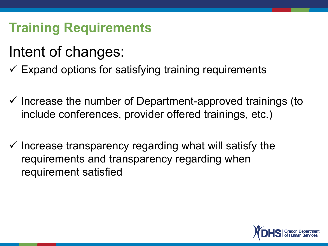### **Training Requirements**

# Intent of changes:

- $\checkmark$  Expand options for satisfying training requirements
- ✓ Increase the number of Department-approved trainings (to include conferences, provider offered trainings, etc.)
- $\checkmark$  Increase transparency regarding what will satisfy the requirements and transparency regarding when requirement satisfied

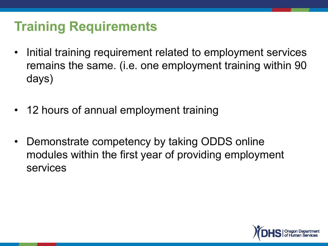### **Training Requirements**

- Initial training requirement related to employment services remains the same. (i.e. one employment training within 90 days)
- 12 hours of annual employment training
- Demonstrate competency by taking ODDS online modules within the first year of providing employment services

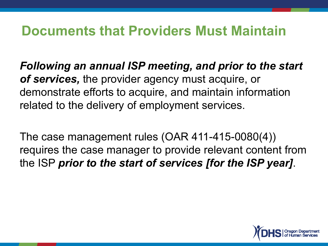#### **Documents that Providers Must Maintain**

*Following an annual ISP meeting, and prior to the start of services,* the provider agency must acquire, or demonstrate efforts to acquire, and maintain information related to the delivery of employment services.

The case management rules (OAR 411-415-0080(4)) requires the case manager to provide relevant content from the ISP *prior to the start of services [for the ISP year]*.

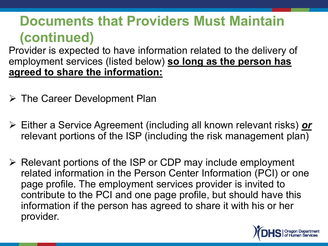Provider is expected to have information related to the delivery of employment services (listed below) **so long as the person has agreed to share the information:**

- ➢ The Career Development Plan
- ➢ Either a Service Agreement (including all known relevant risks) *or* relevant portions of the ISP (including the risk management plan)
- ➢ Relevant portions of the ISP or CDP may include employment related information in the Person Center Information (PCI) or one page profile. The employment services provider is invited to contribute to the PCI and one page profile, but should have this information if the person has agreed to share it with his or her provider.

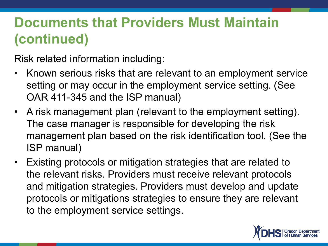Risk related information including:

- Known serious risks that are relevant to an employment service setting or may occur in the employment service setting. (See OAR 411-345 and the ISP manual)
- A risk management plan (relevant to the employment setting). The case manager is responsible for developing the risk management plan based on the risk identification tool. (See the ISP manual)
- Existing protocols or mitigation strategies that are related to the relevant risks. Providers must receive relevant protocols and mitigation strategies. Providers must develop and update protocols or mitigations strategies to ensure they are relevant to the employment service settings.

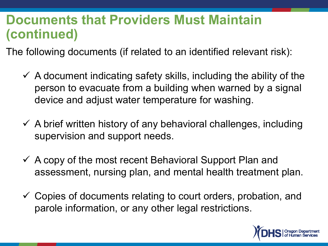The following documents (if related to an identified relevant risk):

- $\checkmark$  A document indicating safety skills, including the ability of the person to evacuate from a building when warned by a signal device and adjust water temperature for washing.
- $\checkmark$  A brief written history of any behavioral challenges, including supervision and support needs.
- $\checkmark$  A copy of the most recent Behavioral Support Plan and assessment, nursing plan, and mental health treatment plan.
- $\checkmark$  Copies of documents relating to court orders, probation, and parole information, or any other legal restrictions.

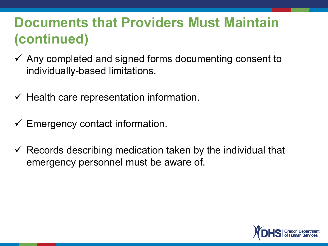- $\checkmark$  Any completed and signed forms documenting consent to individually-based limitations.
- $\checkmark$  Health care representation information.
- $\checkmark$  Emergency contact information.
- $\checkmark$  Records describing medication taken by the individual that emergency personnel must be aware of.

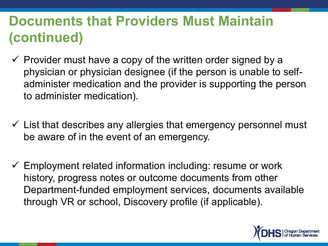- $\checkmark$  Provider must have a copy of the written order signed by a physician or physician designee (if the person is unable to selfadminister medication and the provider is supporting the person to administer medication).
- $\checkmark$  List that describes any allergies that emergency personnel must be aware of in the event of an emergency.
- $\checkmark$  Employment related information including: resume or work history, progress notes or outcome documents from other Department-funded employment services, documents available through VR or school, Discovery profile (if applicable).

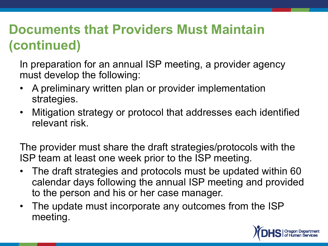In preparation for an annual ISP meeting, a provider agency must develop the following:

- A preliminary written plan or provider implementation strategies.
- Mitigation strategy or protocol that addresses each identified relevant risk.

The provider must share the draft strategies/protocols with the ISP team at least one week prior to the ISP meeting.

- The draft strategies and protocols must be updated within 60 calendar days following the annual ISP meeting and provided to the person and his or her case manager.
- The update must incorporate any outcomes from the ISP meeting.